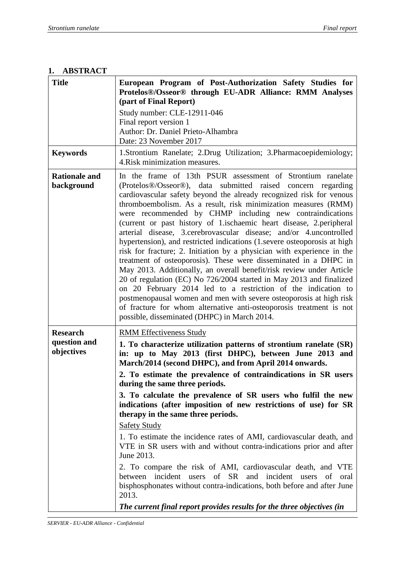#### **1. ABSTRACT**

| <b>Title</b>                       | European Program of Post-Authorization Safety Studies for<br>Protelos®/Osseor® through EU-ADR Alliance: RMM Analyses<br>(part of Final Report)<br>Study number: CLE-12911-046<br>Final report version 1<br>Author: Dr. Daniel Prieto-Alhambra<br>Date: 23 November 2017                                                                                                                                                                                                                                                                                                                                                                                                                                                                                                                                                                                                                                                                                                                                                                                                                                               |
|------------------------------------|-----------------------------------------------------------------------------------------------------------------------------------------------------------------------------------------------------------------------------------------------------------------------------------------------------------------------------------------------------------------------------------------------------------------------------------------------------------------------------------------------------------------------------------------------------------------------------------------------------------------------------------------------------------------------------------------------------------------------------------------------------------------------------------------------------------------------------------------------------------------------------------------------------------------------------------------------------------------------------------------------------------------------------------------------------------------------------------------------------------------------|
| <b>Keywords</b>                    | 1.Strontium Ranelate; 2.Drug Utilization; 3.Pharmacoepidemiology;<br>4. Risk minimization measures.                                                                                                                                                                                                                                                                                                                                                                                                                                                                                                                                                                                                                                                                                                                                                                                                                                                                                                                                                                                                                   |
| <b>Rationale and</b><br>background | In the frame of 13th PSUR assessment of Strontium ranelate<br>(Protelos®/Osseor®), data submitted raised concern regarding<br>cardiovascular safety beyond the already recognized risk for venous<br>thromboembolism. As a result, risk minimization measures (RMM)<br>were recommended by CHMP including new contraindications<br>(current or past history of 1.ischaemic heart disease, 2.peripheral<br>arterial disease, 3. cerebrovascular disease; and/or 4. uncontrolled<br>hypertension), and restricted indications (1 severe osteoporosis at high<br>risk for fracture; 2. Initiation by a physician with experience in the<br>treatment of osteoporosis). These were disseminated in a DHPC in<br>May 2013. Additionally, an overall benefit/risk review under Article<br>20 of regulation (EC) No 726/2004 started in May 2013 and finalized<br>on 20 February 2014 led to a restriction of the indication to<br>postmenopausal women and men with severe osteoporosis at high risk<br>of fracture for whom alternative anti-osteoporosis treatment is not<br>possible, disseminated (DHPC) in March 2014. |
| <b>Research</b>                    | <b>RMM</b> Effectiveness Study                                                                                                                                                                                                                                                                                                                                                                                                                                                                                                                                                                                                                                                                                                                                                                                                                                                                                                                                                                                                                                                                                        |
| question and<br>objectives         | 1. To characterize utilization patterns of strontium ranelate (SR)<br>in: up to May 2013 (first DHPC), between June 2013 and<br>March/2014 (second DHPC), and from April 2014 onwards.<br>2. To estimate the prevalence of contraindications in SR users<br>during the same three periods.<br>3. To calculate the prevalence of SR users who fulfil the new<br>indications (after imposition of new restrictions of use) for SR<br>therapy in the same three periods.<br><b>Safety Study</b><br>1. To estimate the incidence rates of AMI, cardiovascular death, and<br>VTE in SR users with and without contra-indications prior and after<br>June 2013.<br>2. To compare the risk of AMI, cardiovascular death, and VTE<br>between incident users of SR and incident users of<br>oral<br>bisphosphonates without contra-indications, both before and after June<br>2013.<br>The current final report provides results for the three objectives (in                                                                                                                                                                  |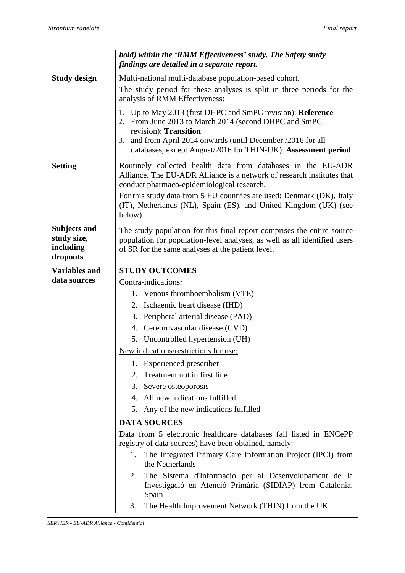|                                                             | bold) within the 'RMM Effectiveness' study. The Safety study<br>findings are detailed in a separate report.                                                                                                                                                                       |
|-------------------------------------------------------------|-----------------------------------------------------------------------------------------------------------------------------------------------------------------------------------------------------------------------------------------------------------------------------------|
| <b>Study design</b>                                         | Multi-national multi-database population-based cohort.                                                                                                                                                                                                                            |
|                                                             | The study period for these analyses is split in three periods for the<br>analysis of RMM Effectiveness:                                                                                                                                                                           |
|                                                             | 1. Up to May 2013 (first DHPC and SmPC revision): Reference<br>2. From June 2013 to March 2014 (second DHPC and SmPC<br>revision): Transition<br>and from April 2014 onwards (until December /2016 for all<br>3.<br>databases, except August/2016 for THIN-UK): Assessment period |
| <b>Setting</b>                                              | Routinely collected health data from databases in the EU-ADR<br>Alliance. The EU-ADR Alliance is a network of research institutes that<br>conduct pharmaco-epidemiological research.                                                                                              |
|                                                             | For this study data from 5 EU countries are used: Denmark (DK), Italy<br>(IT), Netherlands (NL), Spain (ES), and United Kingdom (UK) (see<br>below).                                                                                                                              |
| <b>Subjects and</b><br>study size,<br>including<br>dropouts | The study population for this final report comprises the entire source<br>population for population-level analyses, as well as all identified users<br>of SR for the same analyses at the patient level.                                                                          |
| <b>Variables and</b>                                        | <b>STUDY OUTCOMES</b>                                                                                                                                                                                                                                                             |
| data sources                                                | Contra-indications.                                                                                                                                                                                                                                                               |
|                                                             | 1. Venous thromboembolism (VTE)                                                                                                                                                                                                                                                   |
|                                                             | Ischaemic heart disease (IHD)<br>2.                                                                                                                                                                                                                                               |
|                                                             | Peripheral arterial disease (PAD)<br>3.                                                                                                                                                                                                                                           |
|                                                             | 4. Cerebrovascular disease (CVD)                                                                                                                                                                                                                                                  |
|                                                             | 5. Uncontrolled hypertension (UH)                                                                                                                                                                                                                                                 |
|                                                             | New indications/restrictions for use:                                                                                                                                                                                                                                             |
|                                                             | 1. Experienced prescriber                                                                                                                                                                                                                                                         |
|                                                             | Treatment not in first line<br>2.                                                                                                                                                                                                                                                 |
|                                                             | 3. Severe osteoporosis                                                                                                                                                                                                                                                            |
|                                                             | 4. All new indications fulfilled                                                                                                                                                                                                                                                  |
|                                                             | 5. Any of the new indications fulfilled                                                                                                                                                                                                                                           |
|                                                             | <b>DATA SOURCES</b>                                                                                                                                                                                                                                                               |
|                                                             | Data from 5 electronic healthcare databases (all listed in ENCePP<br>registry of data sources) have been obtained, namely:                                                                                                                                                        |
|                                                             | The Integrated Primary Care Information Project (IPCI) from<br>1.<br>the Netherlands                                                                                                                                                                                              |
|                                                             | The Sistema d'Informació per al Desenvolupament de la<br>2.<br>Investigació en Atenció Primària (SIDIAP) from Catalonia,<br>Spain                                                                                                                                                 |
|                                                             | The Health Improvement Network (THIN) from the UK<br>3.                                                                                                                                                                                                                           |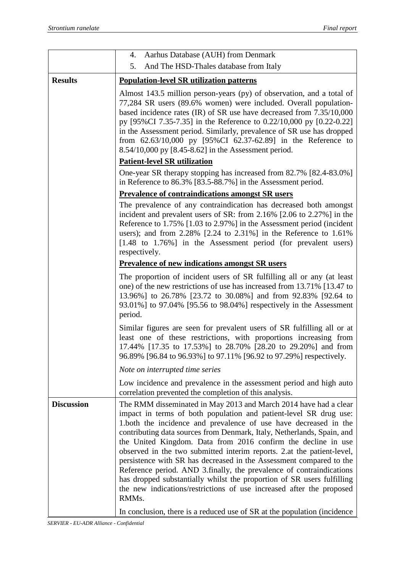|                   | Aarhus Database (AUH) from Denmark<br>4.                                                                                                                                                                                                                                                                                                                                                                                                                                                                                                                                                                                                                                                                                                 |
|-------------------|------------------------------------------------------------------------------------------------------------------------------------------------------------------------------------------------------------------------------------------------------------------------------------------------------------------------------------------------------------------------------------------------------------------------------------------------------------------------------------------------------------------------------------------------------------------------------------------------------------------------------------------------------------------------------------------------------------------------------------------|
|                   | 5.<br>And The HSD-Thales database from Italy                                                                                                                                                                                                                                                                                                                                                                                                                                                                                                                                                                                                                                                                                             |
| <b>Results</b>    | <b>Population-level SR utilization patterns</b>                                                                                                                                                                                                                                                                                                                                                                                                                                                                                                                                                                                                                                                                                          |
|                   | Almost 143.5 million person-years (py) of observation, and a total of<br>77,284 SR users (89.6% women) were included. Overall population-<br>based incidence rates (IR) of SR use have decreased from 7.35/10,000<br>py [95%CI 7.35-7.35] in the Reference to 0.22/10,000 py [0.22-0.22]<br>in the Assessment period. Similarly, prevalence of SR use has dropped<br>from $62.63/10,000$ py [95%CI 62.37-62.89] in the Reference to<br>8.54/10,000 py [8.45-8.62] in the Assessment period.                                                                                                                                                                                                                                              |
|                   | <b>Patient-level SR utilization</b>                                                                                                                                                                                                                                                                                                                                                                                                                                                                                                                                                                                                                                                                                                      |
|                   | One-year SR therapy stopping has increased from 82.7% [82.4-83.0%]<br>in Reference to 86.3% [83.5-88.7%] in the Assessment period.                                                                                                                                                                                                                                                                                                                                                                                                                                                                                                                                                                                                       |
|                   | <b>Prevalence of contraindications amongst SR users</b>                                                                                                                                                                                                                                                                                                                                                                                                                                                                                                                                                                                                                                                                                  |
|                   | The prevalence of any contraindication has decreased both amongst<br>incident and prevalent users of SR: from 2.16% [2.06 to 2.27%] in the<br>Reference to 1.75% [1.03 to 2.97%] in the Assessment period (incident<br>users); and from $2.28\%$ [2.24 to $2.31\%$ ] in the Reference to $1.61\%$<br>[1.48 to 1.76%] in the Assessment period (for prevalent users)<br>respectively.                                                                                                                                                                                                                                                                                                                                                     |
|                   | <b>Prevalence of new indications amongst SR users</b>                                                                                                                                                                                                                                                                                                                                                                                                                                                                                                                                                                                                                                                                                    |
|                   | The proportion of incident users of SR fulfilling all or any (at least<br>one) of the new restrictions of use has increased from 13.71% [13.47 to<br>13.96%] to 26.78% [23.72 to 30.08%] and from 92.83% [92.64 to<br>93.01%] to 97.04% [95.56 to 98.04%] respectively in the Assessment<br>period.                                                                                                                                                                                                                                                                                                                                                                                                                                      |
|                   | Similar figures are seen for prevalent users of SR fulfilling all or at<br>least one of these restrictions, with proportions increasing from<br>17.44% [17.35 to 17.53%] to 28.70% [28.20 to 29.20%] and from<br>96.89% [96.84 to 96.93%] to 97.11% [96.92 to 97.29%] respectively.                                                                                                                                                                                                                                                                                                                                                                                                                                                      |
|                   | Note on interrupted time series                                                                                                                                                                                                                                                                                                                                                                                                                                                                                                                                                                                                                                                                                                          |
|                   | Low incidence and prevalence in the assessment period and high auto<br>correlation prevented the completion of this analysis.                                                                                                                                                                                                                                                                                                                                                                                                                                                                                                                                                                                                            |
| <b>Discussion</b> | The RMM disseminated in May 2013 and March 2014 have had a clear<br>impact in terms of both population and patient-level SR drug use:<br>1.both the incidence and prevalence of use have decreased in the<br>contributing data sources from Denmark, Italy, Netherlands, Spain, and<br>the United Kingdom. Data from 2016 confirm the decline in use<br>observed in the two submitted interim reports. 2.at the patient-level,<br>persistence with SR has decreased in the Assessment compared to the<br>Reference period. AND 3.finally, the prevalence of contraindications<br>has dropped substantially whilst the proportion of SR users fulfilling<br>the new indications/restrictions of use increased after the proposed<br>RMMs. |
|                   | In conclusion, there is a reduced use of SR at the population (incidence)                                                                                                                                                                                                                                                                                                                                                                                                                                                                                                                                                                                                                                                                |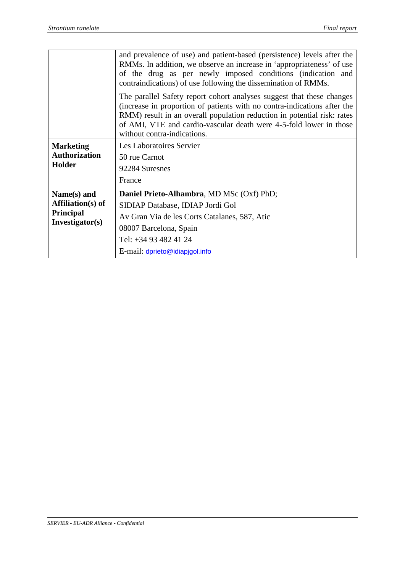|                                                                 | and prevalence of use) and patient-based (persistence) levels after the<br>RMMs. In addition, we observe an increase in 'appropriateness' of use<br>of the drug as per newly imposed conditions (indication and<br>contraindications) of use following the dissemination of RMMs.                                                 |
|-----------------------------------------------------------------|-----------------------------------------------------------------------------------------------------------------------------------------------------------------------------------------------------------------------------------------------------------------------------------------------------------------------------------|
|                                                                 | The parallel Safety report cohort analyses suggest that these changes<br>(increase in proportion of patients with no contra-indications after the<br>RMM) result in an overall population reduction in potential risk: rates<br>of AMI, VTE and cardio-vascular death were 4-5-fold lower in those<br>without contra-indications. |
| <b>Marketing</b><br><b>Authorization</b>                        | Les Laboratoires Servier<br>50 rue Carnot                                                                                                                                                                                                                                                                                         |
| <b>Holder</b>                                                   | 92284 Suresnes<br>France                                                                                                                                                                                                                                                                                                          |
|                                                                 |                                                                                                                                                                                                                                                                                                                                   |
| Name(s) and                                                     | <b>Daniel Prieto-Alhambra, MD MSc (Oxf) PhD;</b>                                                                                                                                                                                                                                                                                  |
| <b>Affiliation(s)</b> of<br><b>Principal</b><br>Investigator(s) | SIDIAP Database, IDIAP Jordi Gol                                                                                                                                                                                                                                                                                                  |
|                                                                 | Av Gran Via de les Corts Catalanes, 587, Atic                                                                                                                                                                                                                                                                                     |
|                                                                 | 08007 Barcelona, Spain                                                                                                                                                                                                                                                                                                            |
|                                                                 | Tel: +34 93 482 41 24                                                                                                                                                                                                                                                                                                             |
|                                                                 | E-mail: dprieto@idiapjgol.info                                                                                                                                                                                                                                                                                                    |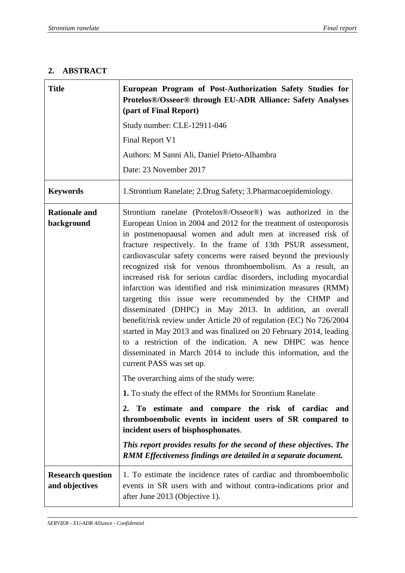٦

## **2. ABSTRACT**

T

 $\mathbf{r}$ 

| <b>Title</b>                               | European Program of Post-Authorization Safety Studies for<br>Protelos®/Osseor® through EU-ADR Alliance: Safety Analyses<br>(part of Final Report)                                                                                                                                                                                                                                                                                                                                                                                                                                                                                                                                                                                                                                                                                                                                                                                                                                                                                                                                                                                                                                                                                                                                                                                                                                                  |
|--------------------------------------------|----------------------------------------------------------------------------------------------------------------------------------------------------------------------------------------------------------------------------------------------------------------------------------------------------------------------------------------------------------------------------------------------------------------------------------------------------------------------------------------------------------------------------------------------------------------------------------------------------------------------------------------------------------------------------------------------------------------------------------------------------------------------------------------------------------------------------------------------------------------------------------------------------------------------------------------------------------------------------------------------------------------------------------------------------------------------------------------------------------------------------------------------------------------------------------------------------------------------------------------------------------------------------------------------------------------------------------------------------------------------------------------------------|
|                                            | Study number: CLE-12911-046                                                                                                                                                                                                                                                                                                                                                                                                                                                                                                                                                                                                                                                                                                                                                                                                                                                                                                                                                                                                                                                                                                                                                                                                                                                                                                                                                                        |
|                                            | Final Report V1                                                                                                                                                                                                                                                                                                                                                                                                                                                                                                                                                                                                                                                                                                                                                                                                                                                                                                                                                                                                                                                                                                                                                                                                                                                                                                                                                                                    |
|                                            | Authors: M Sanni Ali, Daniel Prieto-Alhambra                                                                                                                                                                                                                                                                                                                                                                                                                                                                                                                                                                                                                                                                                                                                                                                                                                                                                                                                                                                                                                                                                                                                                                                                                                                                                                                                                       |
|                                            | Date: 23 November 2017                                                                                                                                                                                                                                                                                                                                                                                                                                                                                                                                                                                                                                                                                                                                                                                                                                                                                                                                                                                                                                                                                                                                                                                                                                                                                                                                                                             |
| <b>Keywords</b>                            | 1. Strontium Ranelate; 2. Drug Safety; 3. Pharmacoepidemiology.                                                                                                                                                                                                                                                                                                                                                                                                                                                                                                                                                                                                                                                                                                                                                                                                                                                                                                                                                                                                                                                                                                                                                                                                                                                                                                                                    |
| <b>Rationale and</b><br>background         | Strontium ranelate (Protelos®/Osseor®) was authorized in the<br>European Union in 2004 and 2012 for the treatment of osteoporosis<br>in postmenopausal women and adult men at increased risk of<br>fracture respectively. In the frame of 13th PSUR assessment,<br>cardiovascular safety concerns were raised beyond the previously<br>recognized risk for venous thromboembolism. As a result, an<br>increased risk for serious cardiac disorders, including myocardial<br>infarction was identified and risk minimization measures (RMM)<br>targeting this issue were recommended by the CHMP and<br>disseminated (DHPC) in May 2013. In addition, an overall<br>benefit/risk review under Article 20 of regulation (EC) No 726/2004<br>started in May 2013 and was finalized on 20 February 2014, leading<br>to a restriction of the indication. A new DHPC was hence<br>disseminated in March 2014 to include this information, and the<br>current PASS was set up.<br>The overarching aims of the study were:<br>1. To study the effect of the RMMs for Strontium Ranelate<br>To estimate and compare the risk of cardiac<br>and<br>$2_{\cdot}$<br>thromboembolic events in incident users of SR compared to<br>incident users of bisphosphonates.<br>This report provides results for the second of these objectives. The<br>RMM Effectiveness findings are detailed in a separate document. |
| <b>Research question</b><br>and objectives | 1. To estimate the incidence rates of cardiac and thromboembolic<br>events in SR users with and without contra-indications prior and<br>after June 2013 (Objective 1).                                                                                                                                                                                                                                                                                                                                                                                                                                                                                                                                                                                                                                                                                                                                                                                                                                                                                                                                                                                                                                                                                                                                                                                                                             |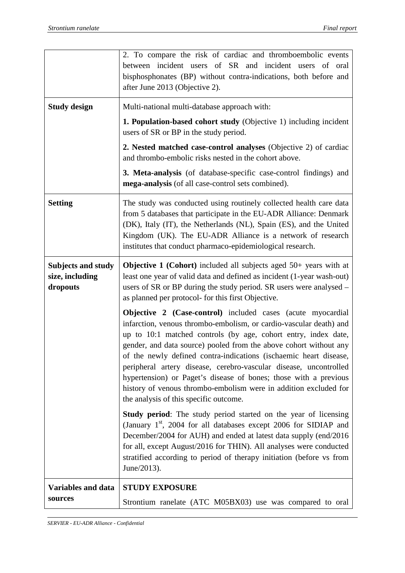|                                                          | 2. To compare the risk of cardiac and thromboembolic events<br>between incident users of SR and incident users of oral<br>bisphosphonates (BP) without contra-indications, both before and<br>after June 2013 (Objective 2).                                                                                                                                                                                                                                                                                                                                                                                |
|----------------------------------------------------------|-------------------------------------------------------------------------------------------------------------------------------------------------------------------------------------------------------------------------------------------------------------------------------------------------------------------------------------------------------------------------------------------------------------------------------------------------------------------------------------------------------------------------------------------------------------------------------------------------------------|
| <b>Study design</b>                                      | Multi-national multi-database approach with:<br>1. Population-based cohort study (Objective 1) including incident<br>users of SR or BP in the study period.                                                                                                                                                                                                                                                                                                                                                                                                                                                 |
|                                                          | 2. Nested matched case-control analyses (Objective 2) of cardiac<br>and thrombo-embolic risks nested in the cohort above.                                                                                                                                                                                                                                                                                                                                                                                                                                                                                   |
|                                                          | 3. Meta-analysis (of database-specific case-control findings) and<br>mega-analysis (of all case-control sets combined).                                                                                                                                                                                                                                                                                                                                                                                                                                                                                     |
| <b>Setting</b>                                           | The study was conducted using routinely collected health care data<br>from 5 databases that participate in the EU-ADR Alliance: Denmark<br>(DK), Italy (IT), the Netherlands (NL), Spain (ES), and the United<br>Kingdom (UK). The EU-ADR Alliance is a network of research<br>institutes that conduct pharmaco-epidemiological research.                                                                                                                                                                                                                                                                   |
| <b>Subjects and study</b><br>size, including<br>dropouts | <b>Objective 1 (Cohort)</b> included all subjects aged $50+$ years with at<br>least one year of valid data and defined as incident (1-year wash-out)<br>users of SR or BP during the study period. SR users were analysed –<br>as planned per protocol- for this first Objective.                                                                                                                                                                                                                                                                                                                           |
|                                                          | <b>Objective 2 (Case-control)</b> included cases (acute myocardial<br>infarction, venous thrombo-embolism, or cardio-vascular death) and<br>up to 10:1 matched controls (by age, cohort entry, index date,<br>gender, and data source) pooled from the above cohort without any<br>of the newly defined contra-indications (ischaemic heart disease,<br>peripheral artery disease, cerebro-vascular disease, uncontrolled<br>hypertension) or Paget's disease of bones; those with a previous<br>history of venous thrombo-embolism were in addition excluded for<br>the analysis of this specific outcome. |
|                                                          | Study period: The study period started on the year of licensing<br>(January $1st$ , 2004 for all databases except 2006 for SIDIAP and<br>December/2004 for AUH) and ended at latest data supply (end/2016<br>for all, except August/2016 for THIN). All analyses were conducted<br>stratified according to period of therapy initiation (before vs from<br>June/2013).                                                                                                                                                                                                                                      |
| <b>Variables and data</b><br>sources                     | <b>STUDY EXPOSURE</b><br>Strontium ranelate (ATC M05BX03) use was compared to oral                                                                                                                                                                                                                                                                                                                                                                                                                                                                                                                          |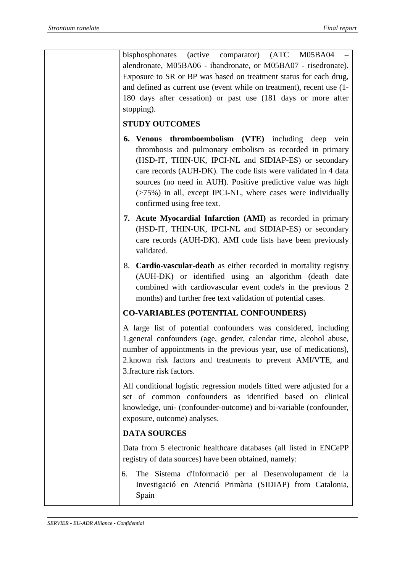bisphosphonates (active comparator) (ATC M05BA04 – alendronate, M05BA06 - ibandronate, or M05BA07 - risedronate). Exposure to SR or BP was based on treatment status for each drug, and defined as current use (event while on treatment), recent use (1- 180 days after cessation) or past use (181 days or more after stopping).

## **STUDY OUTCOMES**

- **6. Venous thromboembolism (VTE)** including deep vein thrombosis and pulmonary embolism as recorded in primary (HSD-IT, THIN-UK, IPCI-NL and SIDIAP-ES) or secondary care records (AUH-DK). The code lists were validated in 4 data sources (no need in AUH). Positive predictive value was high (>75%) in all, except IPCI-NL, where cases were individually confirmed using free text.
- **7. Acute Myocardial Infarction (AMI)** as recorded in primary (HSD-IT, THIN-UK, IPCI-NL and SIDIAP-ES) or secondary care records (AUH-DK). AMI code lists have been previously validated.
- 8. **Cardio-vascular-death** as either recorded in mortality registry (AUH-DK) or identified using an algorithm (death date combined with cardiovascular event code/s in the previous 2 months) and further free text validation of potential cases.

### **CO-VARIABLES (POTENTIAL CONFOUNDERS)**

A large list of potential confounders was considered, including 1.general confounders (age, gender, calendar time, alcohol abuse, number of appointments in the previous year, use of medications), 2.known risk factors and treatments to prevent AMI/VTE, and 3.fracture risk factors.

All conditional logistic regression models fitted were adjusted for a set of common confounders as identified based on clinical knowledge, uni- (confounder-outcome) and bi-variable (confounder, exposure, outcome) analyses.

# **DATA SOURCES**

Data from 5 electronic healthcare databases (all listed in ENCePP registry of data sources) have been obtained, namely:

6. The Sistema d'Informació per al Desenvolupament de la Investigació en Atenció Primària (SIDIAP) from Catalonia, Spain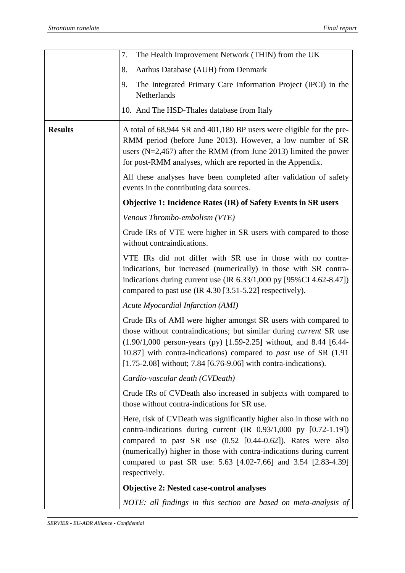|                | The Health Improvement Network (THIN) from the UK<br>7.                                                                                                                                                                                                                                                                                                                       |
|----------------|-------------------------------------------------------------------------------------------------------------------------------------------------------------------------------------------------------------------------------------------------------------------------------------------------------------------------------------------------------------------------------|
|                | Aarhus Database (AUH) from Denmark<br>8.                                                                                                                                                                                                                                                                                                                                      |
|                | The Integrated Primary Care Information Project (IPCI) in the<br>9.<br>Netherlands                                                                                                                                                                                                                                                                                            |
|                | 10. And The HSD-Thales database from Italy                                                                                                                                                                                                                                                                                                                                    |
| <b>Results</b> | A total of 68,944 SR and 401,180 BP users were eligible for the pre-<br>RMM period (before June 2013). However, a low number of SR<br>users ( $N=2,467$ ) after the RMM (from June 2013) limited the power<br>for post-RMM analyses, which are reported in the Appendix.                                                                                                      |
|                | All these analyses have been completed after validation of safety<br>events in the contributing data sources.                                                                                                                                                                                                                                                                 |
|                | <b>Objective 1: Incidence Rates (IR) of Safety Events in SR users</b>                                                                                                                                                                                                                                                                                                         |
|                | Venous Thrombo-embolism (VTE)                                                                                                                                                                                                                                                                                                                                                 |
|                | Crude IRs of VTE were higher in SR users with compared to those<br>without contraindications.                                                                                                                                                                                                                                                                                 |
|                | VTE IRs did not differ with SR use in those with no contra-<br>indications, but increased (numerically) in those with SR contra-<br>indications during current use $(IR\ 6.33/1,000\ py\ [95\% CI\ 4.62-8.47])$<br>compared to past use (IR 4.30 [3.51-5.22] respectively).                                                                                                   |
|                | Acute Myocardial Infarction (AMI)                                                                                                                                                                                                                                                                                                                                             |
|                | Crude IRs of AMI were higher amongst SR users with compared to<br>those without contraindications; but similar during <i>current</i> SR use<br>$(1.90/1,000)$ person-years (py) [1.59-2.25] without, and 8.44 [6.44-<br>10.87] with contra-indications) compared to <i>past</i> use of SR (1.91)<br>$[1.75-2.08]$ without; 7.84 [6.76-9.06] with contra-indications).         |
|                | Cardio-vascular death (CVDeath)                                                                                                                                                                                                                                                                                                                                               |
|                | Crude IRs of CVDeath also increased in subjects with compared to<br>those without contra-indications for SR use.                                                                                                                                                                                                                                                              |
|                | Here, risk of CVDeath was significantly higher also in those with no<br>contra-indications during current $(IR\ 0.93/1,000\ py\ [0.72-1.19])$<br>compared to past SR use $(0.52 \, [0.44-0.62])$ . Rates were also<br>(numerically) higher in those with contra-indications during current<br>compared to past SR use: 5.63 [4.02-7.66] and 3.54 [2.83-4.39]<br>respectively. |
|                | <b>Objective 2: Nested case-control analyses</b>                                                                                                                                                                                                                                                                                                                              |
|                | NOTE: all findings in this section are based on meta-analysis of                                                                                                                                                                                                                                                                                                              |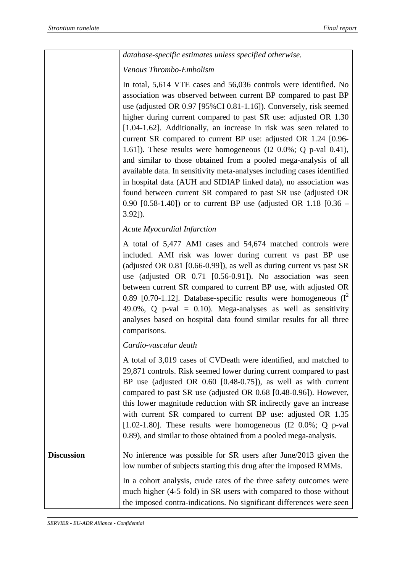|                   | database-specific estimates unless specified otherwise.                                                                                                                                                                                                                                                                                                                                                                                                                                                                                                                                                                                                                                                                                                                                                                                                                |
|-------------------|------------------------------------------------------------------------------------------------------------------------------------------------------------------------------------------------------------------------------------------------------------------------------------------------------------------------------------------------------------------------------------------------------------------------------------------------------------------------------------------------------------------------------------------------------------------------------------------------------------------------------------------------------------------------------------------------------------------------------------------------------------------------------------------------------------------------------------------------------------------------|
|                   | Venous Thrombo-Embolism                                                                                                                                                                                                                                                                                                                                                                                                                                                                                                                                                                                                                                                                                                                                                                                                                                                |
|                   | In total, 5,614 VTE cases and 56,036 controls were identified. No<br>association was observed between current BP compared to past BP<br>use (adjusted OR 0.97 [95%CI 0.81-1.16]). Conversely, risk seemed<br>higher during current compared to past SR use: adjusted OR 1.30<br>[1.04-1.62]. Additionally, an increase in risk was seen related to<br>current SR compared to current BP use: adjusted OR 1.24 [0.96-<br>1.61]). These results were homogeneous ( $12\ 0.0\%$ ; Q p-val 0.41),<br>and similar to those obtained from a pooled mega-analysis of all<br>available data. In sensitivity meta-analyses including cases identified<br>in hospital data (AUH and SIDIAP linked data), no association was<br>found between current SR compared to past SR use (adjusted OR<br>0.90 [0.58-1.40]) or to current BP use (adjusted OR 1.18 $[0.36 -$<br>$3.92$ ]). |
|                   | <b>Acute Myocardial Infarction</b>                                                                                                                                                                                                                                                                                                                                                                                                                                                                                                                                                                                                                                                                                                                                                                                                                                     |
|                   | A total of 5,477 AMI cases and 54,674 matched controls were<br>included. AMI risk was lower during current vs past BP use<br>(adjusted OR $0.81$ [0.66-0.99]), as well as during current vs past SR<br>use (adjusted OR 0.71 [0.56-0.91]). No association was seen<br>between current SR compared to current BP use, with adjusted OR<br>0.89 [0.70-1.12]. Database-specific results were homogeneous $(I^2)$<br>49.0%, Q p-val = $0.10$ ). Mega-analyses as well as sensitivity<br>analyses based on hospital data found similar results for all three<br>comparisons.                                                                                                                                                                                                                                                                                                |
|                   | Cardio-vascular death                                                                                                                                                                                                                                                                                                                                                                                                                                                                                                                                                                                                                                                                                                                                                                                                                                                  |
|                   | A total of 3,019 cases of CVDeath were identified, and matched to<br>29,871 controls. Risk seemed lower during current compared to past<br>BP use (adjusted OR $0.60$ [0.48-0.75]), as well as with current<br>compared to past SR use (adjusted OR 0.68 [0.48-0.96]). However,<br>this lower magnitude reduction with SR indirectly gave an increase<br>with current SR compared to current BP use: adjusted OR 1.35<br>[1.02-1.80]. These results were homogeneous ( $12\,0.0\%$ ; Q p-val<br>0.89), and similar to those obtained from a pooled mega-analysis.                                                                                                                                                                                                                                                                                                      |
| <b>Discussion</b> | No inference was possible for SR users after June/2013 given the<br>low number of subjects starting this drug after the imposed RMMs.                                                                                                                                                                                                                                                                                                                                                                                                                                                                                                                                                                                                                                                                                                                                  |
|                   | In a cohort analysis, crude rates of the three safety outcomes were<br>much higher (4-5 fold) in SR users with compared to those without<br>the imposed contra-indications. No significant differences were seen                                                                                                                                                                                                                                                                                                                                                                                                                                                                                                                                                                                                                                                       |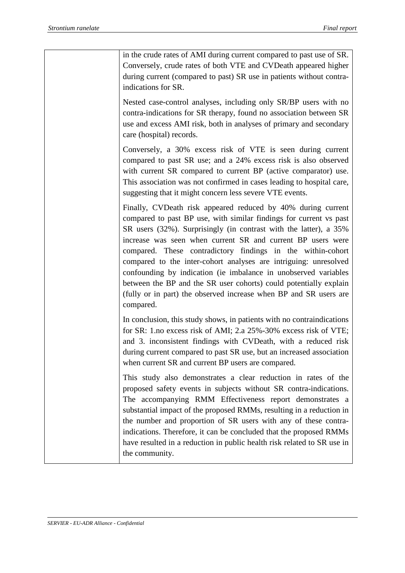in the crude rates of AMI during current compared to past use of SR. Conversely, crude rates of both VTE and CVDeath appeared higher during current (compared to past) SR use in patients without contraindications for SR. Nested case-control analyses, including only SR/BP users with no contra-indications for SR therapy, found no association between SR use and excess AMI risk, both in analyses of primary and secondary care (hospital) records. Conversely, a 30% excess risk of VTE is seen during current compared to past SR use; and a 24% excess risk is also observed with current SR compared to current BP (active comparator) use. This association was not confirmed in cases leading to hospital care, suggesting that it might concern less severe VTE events. Finally, CVDeath risk appeared reduced by 40% during current compared to past BP use, with similar findings for current vs past SR users (32%). Surprisingly (in contrast with the latter), a 35% increase was seen when current SR and current BP users were compared. These contradictory findings in the within-cohort compared to the inter-cohort analyses are intriguing: unresolved confounding by indication (ie imbalance in unobserved variables between the BP and the SR user cohorts) could potentially explain (fully or in part) the observed increase when BP and SR users are compared. In conclusion, this study shows, in patients with no contraindications for SR: 1.no excess risk of AMI; 2.a 25%-30% excess risk of VTE; and 3. inconsistent findings with CVDeath, with a reduced risk during current compared to past SR use, but an increased association when current SR and current BP users are compared. This study also demonstrates a clear reduction in rates of the proposed safety events in subjects without SR contra-indications. The accompanying RMM Effectiveness report demonstrates a substantial impact of the proposed RMMs, resulting in a reduction in the number and proportion of SR users with any of these contraindications. Therefore, it can be concluded that the proposed RMMs have resulted in a reduction in public health risk related to SR use in the community.